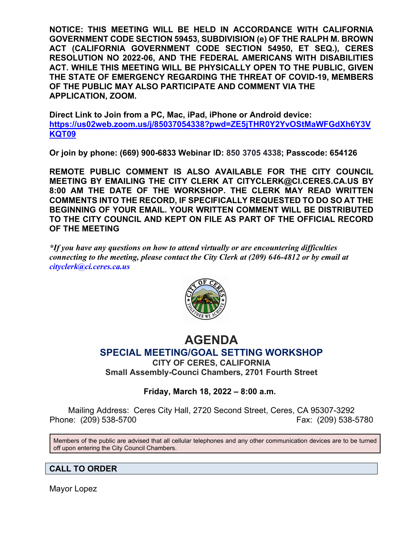**NOTICE: THIS MEETING WILL BE HELD IN ACCORDANCE WITH CALIFORNIA GOVERNMENT CODE SECTION 59453, SUBDIVISION (e) OF THE RALPH M. BROWN ACT (CALIFORNIA GOVERNMENT CODE SECTION 54950, ET SEQ.), CERES RESOLUTION NO 2022-06, AND THE FEDERAL AMERICANS WITH DISABILITIES ACT. WHILE THIS MEETING WILL BE PHYSICALLY OPEN TO THE PUBLIC, GIVEN THE STATE OF EMERGENCY REGARDING THE THREAT OF COVID-19, MEMBERS OF THE PUBLIC MAY ALSO PARTICIPATE AND COMMENT VIA THE APPLICATION, ZOOM.**

**Direct Link to Join from a PC, Mac, iPad, iPhone or Android device: [https://us02web.zoom.us/j/85037054338?pwd=ZE5jTHR0Y2YvOStMaWFGdXh6Y3V](https://us02web.zoom.us/j/85037054338?pwd=ZE5jTHR0Y2YvOStMaWFGdXh6Y3VKQT09) [KQT09](https://us02web.zoom.us/j/85037054338?pwd=ZE5jTHR0Y2YvOStMaWFGdXh6Y3VKQT09)**

**Or join by phone: (669) 900-6833 Webinar ID: 850 3705 4338; Passcode: 654126**

**REMOTE PUBLIC COMMENT IS ALSO AVAILABLE FOR THE CITY COUNCIL MEETING BY EMAILING THE CITY CLERK AT CITYCLERK@CI.CERES.CA.US BY 8:00 AM THE DATE OF THE WORKSHOP. THE CLERK MAY READ WRITTEN COMMENTS INTO THE RECORD, IF SPECIFICALLY REQUESTED TO DO SO AT THE BEGINNING OF YOUR EMAIL. YOUR WRITTEN COMMENT WILL BE DISTRIBUTED TO THE CITY COUNCIL AND KEPT ON FILE AS PART OF THE OFFICIAL RECORD OF THE MEETING**

*\*If you have any questions on how to attend virtually or are encountering difficulties connecting to the meeting, please contact the City Clerk at (209) 646-4812 or by email at cityclerk@ci.ceres.ca.us*



# **AGENDA SPECIAL MEETING/GOAL SETTING WORKSHOP**

**CITY OF CERES, CALIFORNIA Small Assembly-Counci Chambers, 2701 Fourth Street** 

## **Friday, March 18, 2022 – 8:00 a.m.**

Mailing Address: Ceres City Hall, 2720 Second Street, Ceres, CA 95307-3292 Phone: (209) 538-5700 Fax: (209) 538-5780

Members of the public are advised that all cellular telephones and any other communication devices are to be turned off upon entering the City Council Chambers.

## **CALL TO ORDER**

Mayor Lopez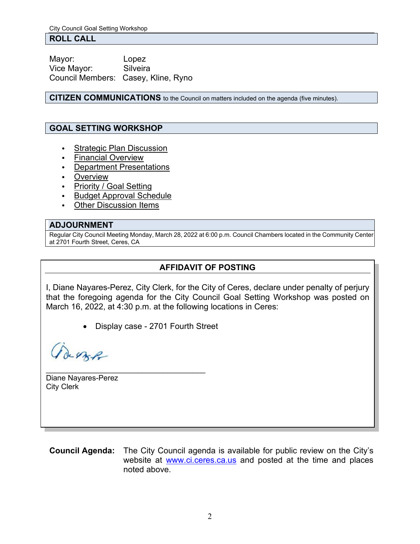#### **ROLL CALL**

Mayor: Lopez Vice Mayor: Silveira Council Members: Casey, Kline, Ryno

**CITIZEN COMMUNICATIONS** to the Council on matters included on the agenda (five minutes).

### **GOAL SETTING WORKSHOP**

- Strategic Plan Discussion
- Financial Overview
- Department Presentations
- Overview
- Priority / Goal Setting
- Budget Approval Schedule
- **Other Discussion Items**

#### **ADJOURNMENT**

Regular City Council Meeting Monday, March 28, 2022 at 6:00 p.m. Council Chambers located in the Community Center at 2701 Fourth Street, Ceres, CA

## **AFFIDAVIT OF POSTING**

I, Diane Nayares-Perez, City Clerk, for the City of Ceres, declare under penalty of perjury that the foregoing agenda for the City Council Goal Setting Workshop was posted on March 16, 2022, at 4:30 p.m. at the following locations in Ceres:

• Display case - 2701 Fourth Street

de ezze

\_\_\_\_\_\_\_\_\_\_\_\_\_\_\_\_\_\_\_\_\_\_\_\_\_\_\_\_\_\_\_\_\_\_\_\_\_\_ Diane Nayares-Perez City Clerk

**Council Agenda:** The City Council agenda is available for public review on the City's website at [www.ci.ceres.ca.us](http://www.ci.ceres.ca.us/) and posted at the time and places noted above.